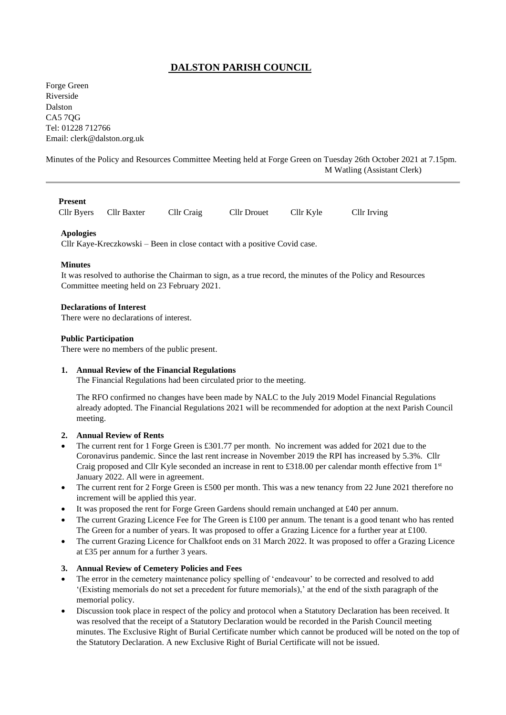# **DALSTON PARISH COUNCIL**

Forge Green Riverside Dalston CA5 7QG Tel: 01228 712766 Email: [clerk@dalston.org.uk](mailto:clerk@dalston.org.uk)

Minutes of the Policy and Resources Committee Meeting held at Forge Green on Tuesday 26th October 2021 at 7.15pm. M Watling (Assistant Clerk)

#### **Present**

Cllr Byers Cllr Baxter Cllr Craig Cllr Drouet Cllr Kyle Cllr Irving

## **Apologies**

Cllr Kaye-Kreczkowski – Been in close contact with a positive Covid case.

#### **Minutes**

It was resolved to authorise the Chairman to sign, as a true record, the minutes of the Policy and Resources Committee meeting held on 23 February 2021.

#### **Declarations of Interest**

There were no declarations of interest.

## **Public Participation**

There were no members of the public present.

## **1. Annual Review of the Financial Regulations**

The Financial Regulations had been circulated prior to the meeting.

The RFO confirmed no changes have been made by NALC to the July 2019 Model Financial Regulations already adopted. The Financial Regulations 2021 will be recommended for adoption at the next Parish Council meeting.

## **2. Annual Review of Rents**

- The current rent for 1 Forge Green is £301.77 per month. No increment was added for 2021 due to the Coronavirus pandemic. Since the last rent increase in November 2019 the RPI has increased by 5.3%. Cllr Craig proposed and Cllr Kyle seconded an increase in rent to £318.00 per calendar month effective from 1<sup>st</sup> January 2022. All were in agreement.
- The current rent for 2 Forge Green is £500 per month. This was a new tenancy from 22 June 2021 therefore no increment will be applied this year.
- It was proposed the rent for Forge Green Gardens should remain unchanged at £40 per annum.
- The current Grazing Licence Fee for The Green is £100 per annum. The tenant is a good tenant who has rented The Green for a number of years. It was proposed to offer a Grazing Licence for a further year at £100.
- The current Grazing Licence for Chalkfoot ends on 31 March 2022. It was proposed to offer a Grazing Licence at £35 per annum for a further 3 years.

## **3. Annual Review of Cemetery Policies and Fees**

- The error in the cemetery maintenance policy spelling of 'endeavour' to be corrected and resolved to add '(Existing memorials do not set a precedent for future memorials),' at the end of the sixth paragraph of the memorial policy.
- Discussion took place in respect of the policy and protocol when a Statutory Declaration has been received. It was resolved that the receipt of a Statutory Declaration would be recorded in the Parish Council meeting minutes. The Exclusive Right of Burial Certificate number which cannot be produced will be noted on the top of the Statutory Declaration. A new Exclusive Right of Burial Certificate will not be issued.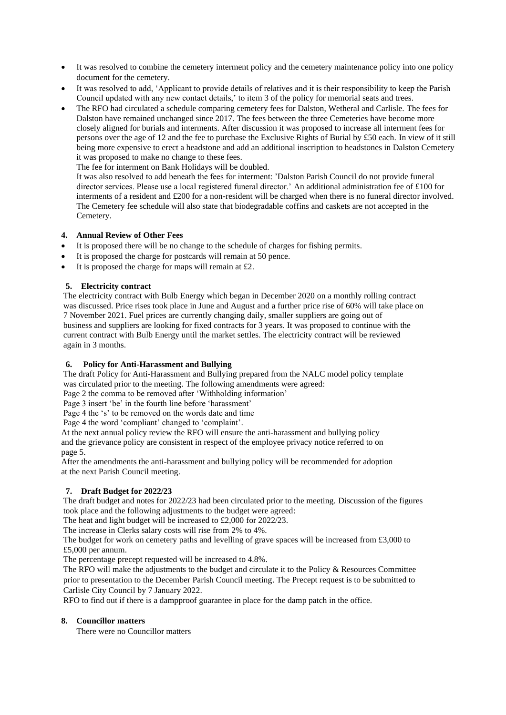- It was resolved to combine the cemetery interment policy and the cemetery maintenance policy into one policy document for the cemetery.
- It was resolved to add, 'Applicant to provide details of relatives and it is their responsibility to keep the Parish Council updated with any new contact details,' to item 3 of the policy for memorial seats and trees.
- The RFO had circulated a schedule comparing cemetery fees for Dalston, Wetheral and Carlisle. The fees for Dalston have remained unchanged since 2017. The fees between the three Cemeteries have become more closely aligned for burials and interments. After discussion it was proposed to increase all interment fees for persons over the age of 12 and the fee to purchase the Exclusive Rights of Burial by £50 each. In view of it still being more expensive to erect a headstone and add an additional inscription to headstones in Dalston Cemetery it was proposed to make no change to these fees.

The fee for interment on Bank Holidays will be doubled.

It was also resolved to add beneath the fees for interment: 'Dalston Parish Council do not provide funeral director services. Please use a local registered funeral director.' An additional administration fee of £100 for interments of a resident and £200 for a non-resident will be charged when there is no funeral director involved. The Cemetery fee schedule will also state that biodegradable coffins and caskets are not accepted in the Cemetery.

# **4. Annual Review of Other Fees**

- It is proposed there will be no change to the schedule of charges for fishing permits.
- It is proposed the charge for postcards will remain at 50 pence.
- It is proposed the charge for maps will remain at  $£2$ .

# **5. Electricity contract**

 The electricity contract with Bulb Energy which began in December 2020 on a monthly rolling contract was discussed. Price rises took place in June and August and a further price rise of 60% will take place on 7 November 2021. Fuel prices are currently changing daily, smaller suppliers are going out of business and suppliers are looking for fixed contracts for 3 years. It was proposed to continue with the current contract with Bulb Energy until the market settles. The electricity contract will be reviewed again in 3 months.

## **6. Policy for Anti-Harassment and Bullying**

 The draft Policy for Anti-Harassment and Bullying prepared from the NALC model policy template was circulated prior to the meeting. The following amendments were agreed:

Page 2 the comma to be removed after 'Withholding information'

Page 3 insert 'be' in the fourth line before 'harassment'

Page 4 the 's' to be removed on the words date and time

Page 4 the word 'compliant' changed to 'complaint'.

 At the next annual policy review the RFO will ensure the anti-harassment and bullying policy and the grievance policy are consistent in respect of the employee privacy notice referred to on page 5.

 After the amendments the anti-harassment and bullying policy will be recommended for adoption at the next Parish Council meeting.

# **7. Draft Budget for 2022/23**

 The draft budget and notes for 2022/23 had been circulated prior to the meeting. Discussion of the figures took place and the following adjustments to the budget were agreed:

The heat and light budget will be increased to £2,000 for 2022/23.

The increase in Clerks salary costs will rise from 2% to 4%.

 The budget for work on cemetery paths and levelling of grave spaces will be increased from £3,000 to £5,000 per annum.

The percentage precept requested will be increased to 4.8%.

 The RFO will make the adjustments to the budget and circulate it to the Policy & Resources Committee prior to presentation to the December Parish Council meeting. The Precept request is to be submitted to Carlisle City Council by 7 January 2022.

RFO to find out if there is a dampproof guarantee in place for the damp patch in the office.

## **8. Councillor matters**

There were no Councillor matters